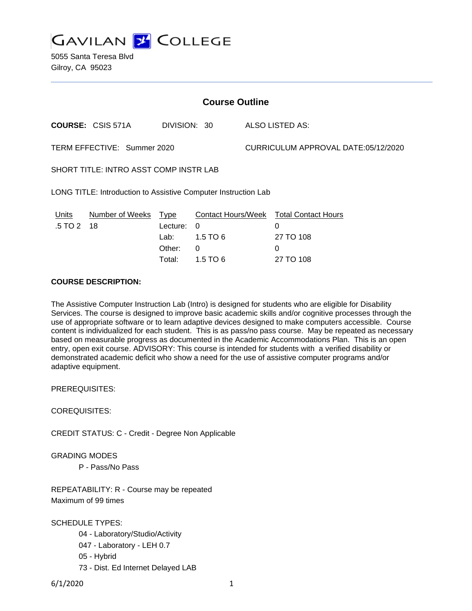**GAVILAN 2 COLLEGE** 

5055 Santa Teresa Blvd Gilroy, CA 95023

| <b>Course Outline</b>                                          |                            |                                      |                                           |                                     |                                                                            |
|----------------------------------------------------------------|----------------------------|--------------------------------------|-------------------------------------------|-------------------------------------|----------------------------------------------------------------------------|
|                                                                | <b>COURSE: CSIS 571A</b>   | DIVISION: 30                         |                                           |                                     | ALSO LISTED AS:                                                            |
| TERM EFFECTIVE: Summer 2020                                    |                            |                                      |                                           | CURRICULUM APPROVAL DATE:05/12/2020 |                                                                            |
| SHORT TITLE: INTRO ASST COMP INSTR LAB                         |                            |                                      |                                           |                                     |                                                                            |
| LONG TITLE: Introduction to Assistive Computer Instruction Lab |                            |                                      |                                           |                                     |                                                                            |
| Units<br>.5 TO 2                                               | Number of Weeks Type<br>18 | Lecture:<br>Lab:<br>Other:<br>Total: | $\Omega$<br>$1.5$ TO 6<br>0<br>$1.5$ TO 6 |                                     | Contact Hours/Week Total Contact Hours<br>0<br>27 TO 108<br>0<br>27 TO 108 |

# **COURSE DESCRIPTION:**

The Assistive Computer Instruction Lab (Intro) is designed for students who are eligible for Disability Services. The course is designed to improve basic academic skills and/or cognitive processes through the use of appropriate software or to learn adaptive devices designed to make computers accessible. Course content is individualized for each student. This is as pass/no pass course. May be repeated as necessary based on measurable progress as documented in the Academic Accommodations Plan. This is an open entry, open exit course. ADVISORY: This course is intended for students with a verified disability or demonstrated academic deficit who show a need for the use of assistive computer programs and/or adaptive equipment.

PREREQUISITES:

COREQUISITES:

CREDIT STATUS: C - Credit - Degree Non Applicable

GRADING MODES

P - Pass/No Pass

REPEATABILITY: R - Course may be repeated Maximum of 99 times

SCHEDULE TYPES:

04 - Laboratory/Studio/Activity 047 - Laboratory - LEH 0.7 05 - Hybrid 73 - Dist. Ed Internet Delayed LAB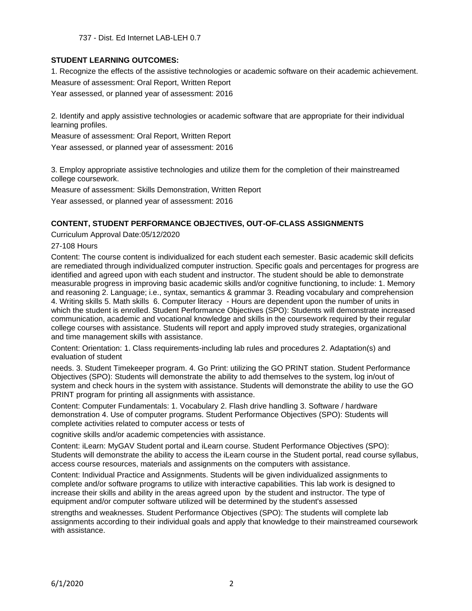737 - Dist. Ed Internet LAB-LEH 0.7

# **STUDENT LEARNING OUTCOMES:**

1. Recognize the effects of the assistive technologies or academic software on their academic achievement. Measure of assessment: Oral Report, Written Report

Year assessed, or planned year of assessment: 2016

2. Identify and apply assistive technologies or academic software that are appropriate for their individual learning profiles.

Measure of assessment: Oral Report, Written Report

Year assessed, or planned year of assessment: 2016

3. Employ appropriate assistive technologies and utilize them for the completion of their mainstreamed college coursework.

Measure of assessment: Skills Demonstration, Written Report

Year assessed, or planned year of assessment: 2016

#### **CONTENT, STUDENT PERFORMANCE OBJECTIVES, OUT-OF-CLASS ASSIGNMENTS**

Curriculum Approval Date:05/12/2020

27-108 Hours

Content: The course content is individualized for each student each semester. Basic academic skill deficits are remediated through individualized computer instruction. Specific goals and percentages for progress are identified and agreed upon with each student and instructor. The student should be able to demonstrate measurable progress in improving basic academic skills and/or cognitive functioning, to include: 1. Memory and reasoning 2. Language; i.e., syntax, semantics & grammar 3. Reading vocabulary and comprehension 4. Writing skills 5. Math skills 6. Computer literacy - Hours are dependent upon the number of units in which the student is enrolled. Student Performance Objectives (SPO): Students will demonstrate increased communication, academic and vocational knowledge and skills in the coursework required by their regular college courses with assistance. Students will report and apply improved study strategies, organizational and time management skills with assistance.

Content: Orientation: 1. Class requirements-including lab rules and procedures 2. Adaptation(s) and evaluation of student

needs. 3. Student Timekeeper program. 4. Go Print: utilizing the GO PRINT station. Student Performance Objectives (SPO): Students will demonstrate the ability to add themselves to the system, log in/out of system and check hours in the system with assistance. Students will demonstrate the ability to use the GO PRINT program for printing all assignments with assistance.

Content: Computer Fundamentals: 1. Vocabulary 2. Flash drive handling 3. Software / hardware demonstration 4. Use of computer programs. Student Performance Objectives (SPO): Students will complete activities related to computer access or tests of

cognitive skills and/or academic competencies with assistance.

Content: iLearn: MyGAV Student portal and iLearn course. Student Performance Objectives (SPO): Students will demonstrate the ability to access the iLearn course in the Student portal, read course syllabus, access course resources, materials and assignments on the computers with assistance.

Content: Individual Practice and Assignments. Students will be given individualized assignments to complete and/or software programs to utilize with interactive capabilities. This lab work is designed to increase their skills and ability in the areas agreed upon by the student and instructor. The type of equipment and/or computer software utilized will be determined by the student's assessed

strengths and weaknesses. Student Performance Objectives (SPO): The students will complete lab assignments according to their individual goals and apply that knowledge to their mainstreamed coursework with assistance.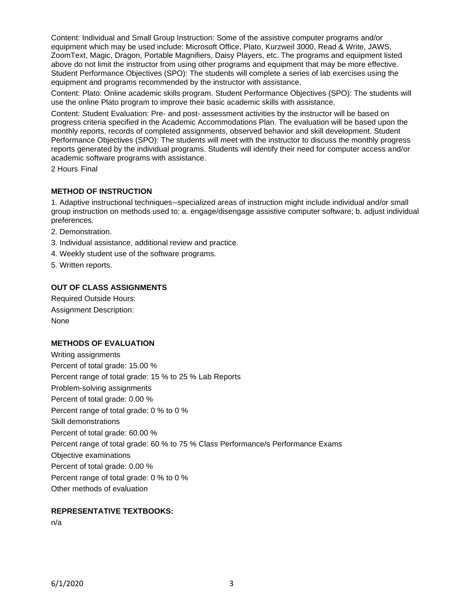Content: Individual and Small Group Instruction: Some of the assistive computer programs and/or equipment which may be used include: Microsoft Office, Plato, Kurzweil 3000, Read & Write, JAWS, ZoomText, Magic, Dragon, Portable Magnifiers, Daisy Players, etc. The programs and equipment listed above do not limit the instructor from using other programs and equipment that may be more effective. Student Performance Objectives (SPO): The students will complete a series of lab exercises using the equipment and programs recommended by the instructor with assistance.

Content: Plato: Online academic skills program. Student Performance Objectives (SPO): The students will use the online Plato program to improve their basic academic skills with assistance.

Content: Student Evaluation: Pre- and post- assessment activities by the instructor will be based on progress criteria specified in the Academic Accommodations Plan. The evaluation will be based upon the monthly reports, records of completed assignments, observed behavior and skill development. Student Performance Objectives (SPO): The students will meet with the instructor to discuss the monthly progress reports generated by the individual programs. Students will identify their need for computer access and/or academic software programs with assistance.

2 Hours Final

#### **METHOD OF INSTRUCTION**

1. Adaptive instructional techniques--specialized areas of instruction might include individual and/or small group instruction on methods used to: a. engage/disengage assistive computer software; b. adjust individual preferences.

- 2. Demonstration.
- 3. Individual assistance, additional review and practice.
- 4. Weekly student use of the software programs.
- 5. Written reports.

#### **OUT OF CLASS ASSIGNMENTS**

Required Outside Hours: Assignment Description: **None** 

## **METHODS OF EVALUATION**

Writing assignments Percent of total grade: 15.00 % Percent range of total grade: 15 % to 25 % Lab Reports Problem-solving assignments Percent of total grade: 0.00 % Percent range of total grade: 0 % to 0 % Skill demonstrations Percent of total grade: 60.00 % Percent range of total grade: 60 % to 75 % Class Performance/s Performance Exams Objective examinations Percent of total grade: 0.00 % Percent range of total grade: 0 % to 0 % Other methods of evaluation

# **REPRESENTATIVE TEXTBOOKS:**

n/a